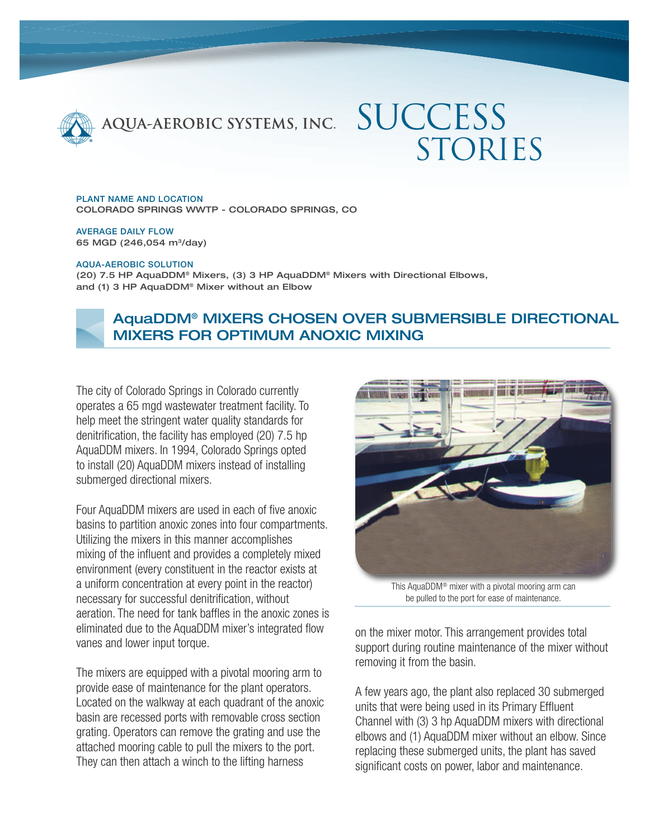

# **SUCCESS** STORIES

PLANT NAME AND LOCATION COLORADO SPRINGS WWTP - COLORADO SPRINGS, CO

AVERAGE DAILY FLOW 65 MGD (246,054 m3/day)

#### AQUA-AEROBIC SOLUTION

(20) 7.5 HP AquaDDM® Mixers, (3) 3 HP AquaDDM® Mixers with Directional Elbows, and (1) 3 HP AquaDDM® Mixer without an Elbow



## AquaDDM® MIXERS CHOSEN OVER SUBMERSIBLE DIRECTIONAL MIXERS FOR OPTIMUM ANOXIC MIXING

The city of Colorado Springs in Colorado currently operates a 65 mgd wastewater treatment facility. To help meet the stringent water quality standards for denitrification, the facility has employed (20) 7.5 hp AquaDDM mixers. In 1994, Colorado Springs opted to install (20) AquaDDM mixers instead of installing submerged directional mixers.

Four AquaDDM mixers are used in each of five anoxic basins to partition anoxic zones into four compartments. Utilizing the mixers in this manner accomplishes mixing of the influent and provides a completely mixed environment (every constituent in the reactor exists at a uniform concentration at every point in the reactor) necessary for successful denitrification, without aeration. The need for tank baffles in the anoxic zones is eliminated due to the AquaDDM mixer's integrated flow vanes and lower input torque.

The mixers are equipped with a pivotal mooring arm to provide ease of maintenance for the plant operators. Located on the walkway at each quadrant of the anoxic basin are recessed ports with removable cross section grating. Operators can remove the grating and use the attached mooring cable to pull the mixers to the port. They can then attach a winch to the lifting harness



This AquaDDM® mixer with a pivotal mooring arm can be pulled to the port for ease of maintenance.

on the mixer motor. This arrangement provides total support during routine maintenance of the mixer without removing it from the basin.

A few years ago, the plant also replaced 30 submerged units that were being used in its Primary Effluent Channel with (3) 3 hp AquaDDM mixers with directional elbows and (1) AquaDDM mixer without an elbow. Since replacing these submerged units, the plant has saved significant costs on power, labor and maintenance.